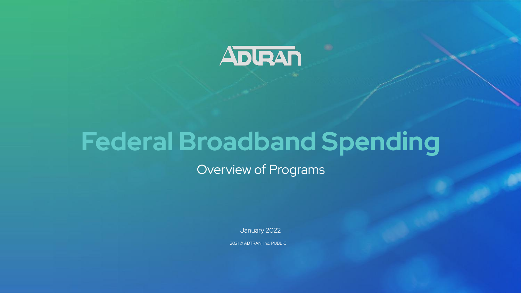

# **Federal Broadband Spending**

Overview of Programs

January 2022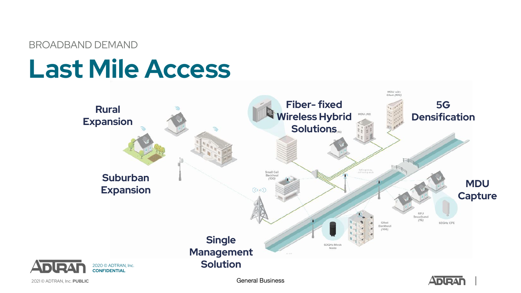BROADBAND DEMAND

# **Last Mile Access**



2021 © ADTRAN, Inc. **PUBLIC** General Business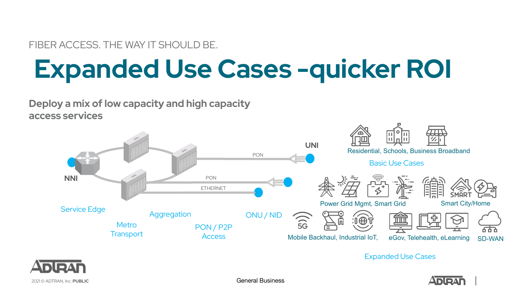FIBER ACCESS. THE WAY IT SHOULD BE.

# **Expanded Use Cases -quicker ROI**

### **Deploy a mix of low capacity and high capacity access services**



Expanded Use Cases



2021 © ADTRAN, Inc. **PUBLIC** General Business

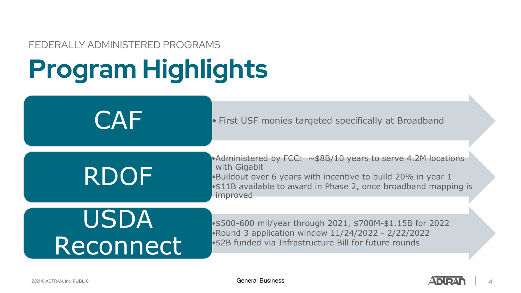### FEDERALLY ADMINISTERED PROGRAMS

# **Program Highlights**

CAF • First USF monies targeted specifically at Broadband •Administered by FCC: ~\$8B/10 years to serve 4.2M locations with Gigabit •Buildout over 6 years with incentive to build 20% in year 1 •\$11B available to award in Phase 2, once broadband mapping is improved RDOF •\$500-600 mil/year through 2021, \$700M-\$1.15B for 2022 •Round 3 application window 11/24/2022 - 2/22/2022 •\$2B funded via Infrastructure Bill for future rounds USDA Reconnect

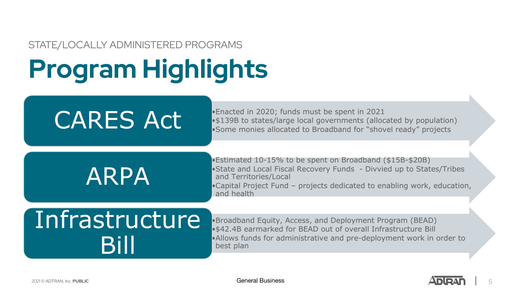### STATE/LOCALLY ADMINISTERED PROGRAMS

# **Program Highlights**

•Enacted in 2020; funds must be spent in 2021 **CARES Act** • \$139B to states/large local governments (allocated by population)<br>•Some monies allocated to Broadband for "shovel ready" projects

# ARPA

•Estimated 10-15% to be spent on Broadband (\$15B-\$20B) •State and Local Fiscal Recovery Funds - Divvied up to States/Tribes and Territories/Local •Capital Project Fund – projects dedicated to enabling work, education, and health

# Infrastructure Bill

•Broadband Equity, Access, and Deployment Program (BEAD) •\$42.4B earmarked for BEAD out of overall Infrastructure Bill •Allows funds for administrative and pre-deployment work in order to best plan

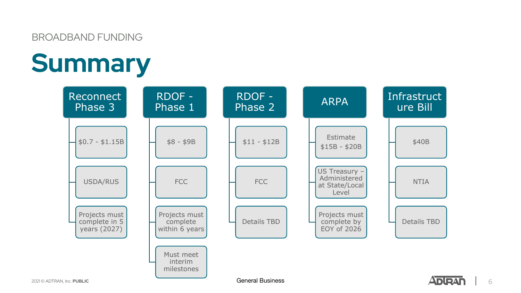### BROADBAND FUNDING

# **Summary**



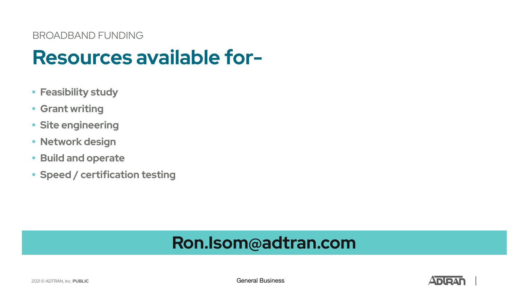# **Resources available for-**

- **• Feasibility study**
- **• Grant writing**
- **• Site engineering**
- **• Network design**
- **• Build and operate**
- **• Speed / certification testing**

## **Ron.Isom@adtran.com**

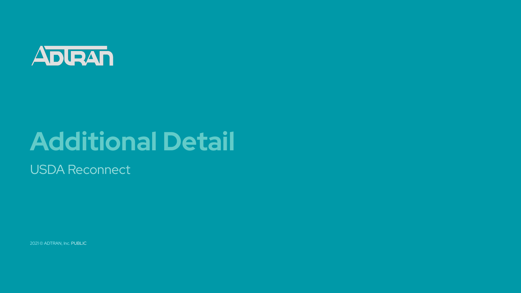

# **Additional Detail**

USDA Reconnect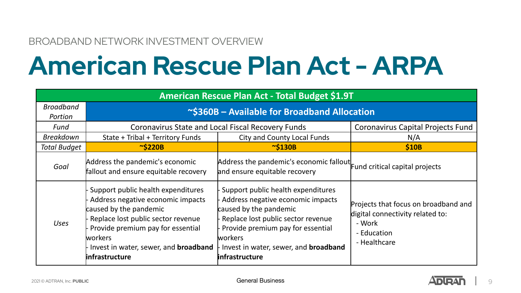### BROADBAND NETWORK INVESTMENT OVERVIEW

# **American Rescue Plan Act - ARPA**

| American Rescue Plan Act - Total Budget \$1.9T |                                                                                                                                                                                                                                                            |                                                                                                                                                                                                                                                                     |                                                                                                                   |  |  |  |
|------------------------------------------------|------------------------------------------------------------------------------------------------------------------------------------------------------------------------------------------------------------------------------------------------------------|---------------------------------------------------------------------------------------------------------------------------------------------------------------------------------------------------------------------------------------------------------------------|-------------------------------------------------------------------------------------------------------------------|--|--|--|
| <b>Broadband</b><br>Portion                    | ~\$360B - Available for Broadband Allocation                                                                                                                                                                                                               |                                                                                                                                                                                                                                                                     |                                                                                                                   |  |  |  |
| Fund                                           | Coronavirus State and Local Fiscal Recovery Funds                                                                                                                                                                                                          |                                                                                                                                                                                                                                                                     | Coronavirus Capital Projects Fund                                                                                 |  |  |  |
| <b>Breakdown</b>                               | State + Tribal + Territory Funds                                                                                                                                                                                                                           | City and County Local Funds                                                                                                                                                                                                                                         | N/A                                                                                                               |  |  |  |
| <b>Total Budget</b>                            | $\sim$ \$220B                                                                                                                                                                                                                                              | $\sim$ \$130B                                                                                                                                                                                                                                                       | \$10B                                                                                                             |  |  |  |
| Goal                                           | Address the pandemic's economic<br>fallout and ensure equitable recovery                                                                                                                                                                                   | Address the pandemic's economic fallout Fund critical capital projects<br>and ensure equitable recovery                                                                                                                                                             |                                                                                                                   |  |  |  |
| <b>Uses</b>                                    | Support public health expenditures<br>Address negative economic impacts<br>caused by the pandemic<br>Replace lost public sector revenue<br>Provide premium pay for essential<br>lworkers<br>Invest in water, sewer, and <b>broadband</b><br>infrastructure | Support public health expenditures<br>Address negative economic impacts<br>caused by the pandemic<br>Replace lost public sector revenue<br>- Provide premium pay for essential<br><b>lworkers</b><br>Invest in water, sewer, and <b>broadband</b><br>infrastructure | Projects that focus on broadband and<br>digital connectivity related to:<br>- Work<br>- Education<br>- Healthcare |  |  |  |

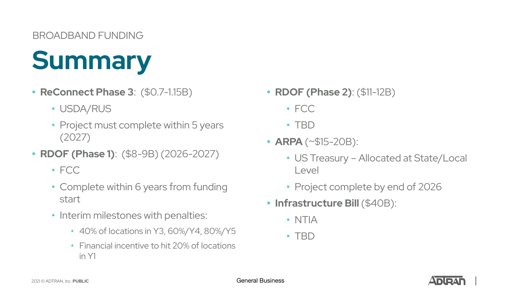### BROADBAND FUNDING

# **Summary**

- **• ReConnect Phase 3**: (\$0.7-1.15B)
	- USDA/RUS
	- Project must complete within 5 years (2027)
- **• RDOF (Phase 1)**: (\$8-9B) (2026-2027)
	- FCC
	- Complete within 6 years from funding start
	- Interim milestones with penalties:
		- 40% of locations in Y3, 60%/Y4, 80%/Y5
		- Financial incentive to hit 20% of locations in Y1
- **• RDOF (Phase 2)**: (\$11-12B)
	- FCC
	- TBD
- **• ARPA** (~\$15-20B):
	- US Treasury Allocated at State/Local Level
	- Project complete by end of 2026
- **• Infrastructure Bill** (\$40B):
	- NTIA
	- TBD

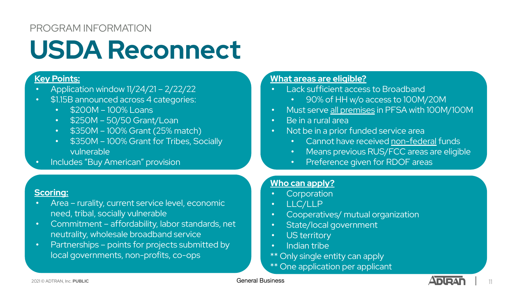### PROGRAM INFORMATION

# **USDA Reconnect**

### **Key Points:**

- Application window 11/24/21 2/22/22
- \$1.15B announced across 4 categories:
	- \$200M 100% Loans
	- \$250M 50/50 Grant/Loan
	- \$350M 100% Grant (25% match)
	- \$350M 100% Grant for Tribes, Socially vulnerable
- Includes "Buy American" provision

### **What areas are eligible?**

- Lack sufficient access to Broadband
	- 90% of HH w/o access to 100M/20M
- Must serve all premises in PFSA with 100M/100M
- Be in a rural area
- Not be in a prior funded service area
	- Cannot have received non-federal funds
	- Means previous RUS/FCC areas are eligible
	- Preference given for RDOF areas

### **Who can apply?**

- Corporation
- LLC/LLP
- Cooperatives/ mutual organization
- State/local government
- US territory
- Indian tribe
- \*\* Only single entity can apply
- \*\* One application per applicant

### **Scoring:**

- Area rurality, current service level, economic need, tribal, socially vulnerable
- Commitment affordability, labor standards, net neutrality, wholesale broadband service
- Partnerships points for projects submitted by local governments, non-profits, co-ops

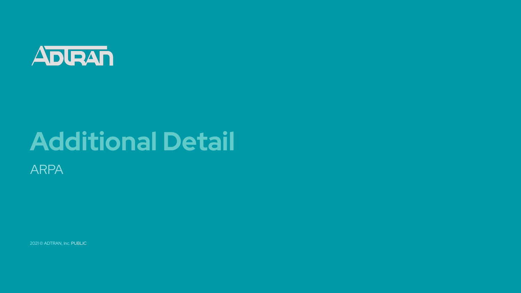

# **Additional Detail**

ARPA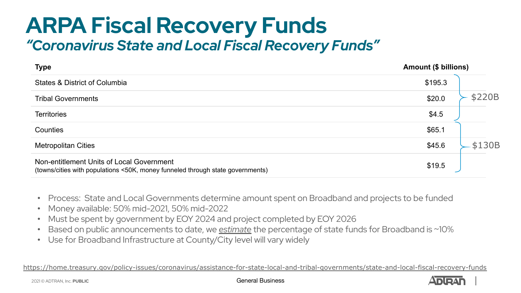## **ARPA Fiscal Recovery Funds** *"Coronavirus State and Local Fiscal Recovery Funds"*

| <b>Type</b>                                                                                                                 | <b>Amount (\$ billions)</b> |
|-----------------------------------------------------------------------------------------------------------------------------|-----------------------------|
| States & District of Columbia                                                                                               | \$195.3                     |
| <b>Tribal Governments</b>                                                                                                   | \$220B<br>\$20.0            |
| <b>Territories</b>                                                                                                          | \$4.5                       |
| Counties                                                                                                                    | \$65.1                      |
| <b>Metropolitan Cities</b>                                                                                                  | \$130B<br>\$45.6            |
| Non-entitlement Units of Local Government<br>(towns/cities with populations <50K, money funneled through state governments) | \$19.5                      |

- Process: State and Local Governments determine amount spent on Broadband and projects to be funded
- Money available: 50% mid-2021, 50% mid-2022
- Must be spent by government by EOY 2024 and project completed by EOY 2026
- Based on public announcements to date, we *estimate* the percentage of state funds for Broadband is ~10%
- Use for Broadband Infrastructure at County/City level will vary widely

<https://home.treasury.gov/policy-issues/coronavirus/assistance-for-state-local-and-tribal-governments/state-and-local-fiscal-recovery-funds>

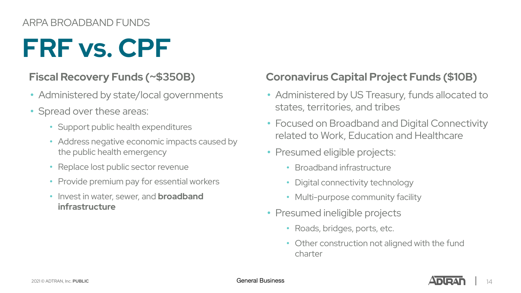### ARPA BROADBAND FUNDS

# **FRF vs. CPF**

## **Fiscal Recovery Funds (~\$350B)**

- Administered by state/local governments
- Spread over these areas:
	- Support public health expenditures
	- Address negative economic impacts caused by the public health emergency
	- Replace lost public sector revenue
	- Provide premium pay for essential workers
	- Invest in water, sewer, and **broadband infrastructure**

## **Coronavirus Capital Project Funds (\$10B)**

- Administered by US Treasury, funds allocated to states, territories, and tribes
- Focused on Broadband and Digital Connectivity related to Work, Education and Healthcare
- Presumed eligible projects:
	- Broadband infrastructure
	- Digital connectivity technology
	- Multi-purpose community facility
- Presumed ineligible projects
	- Roads, bridges, ports, etc.
	- Other construction not aligned with the fund charter

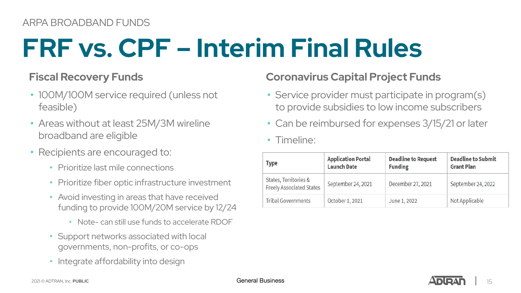# **FRF vs. CPF – Interim Final Rules**

### **Fiscal Recovery Funds**

- 100M/100M service required (unless not feasible)
- Areas without at least 25M/3M wireline broadband are eligible
- Recipients are encouraged to:
	- Prioritize last mile connections
	- Prioritize fiber optic infrastructure investment
	- Avoid investing in areas that have received funding to provide 100M/20M service by 12/24
		- Note- can still use funds to accelerate RDOF
	- Support networks associated with local governments, non-profits, or co-ops
	- Integrate affordability into design

## **Coronavirus Capital Project Funds**

- Service provider must participate in program(s) to provide subsidies to low income subscribers
- Can be reimbursed for expenses 3/15/21 or later

### • Timeline:

| <b>Type</b>                                              | <b>Application Portal</b><br><b>Launch Date</b> | <b>Deadline to Request</b><br><b>Funding</b> | <b>Deadline to Submit</b><br><b>Grant Plan</b> |
|----------------------------------------------------------|-------------------------------------------------|----------------------------------------------|------------------------------------------------|
| States, Territories &<br><b>Freely Associated States</b> | September 24, 2021                              | December 27, 2021                            | September 24, 2022                             |
| <b>Tribal Governments</b>                                | October 1, 2021                                 | June 1, 2022                                 | Not Applicable                                 |

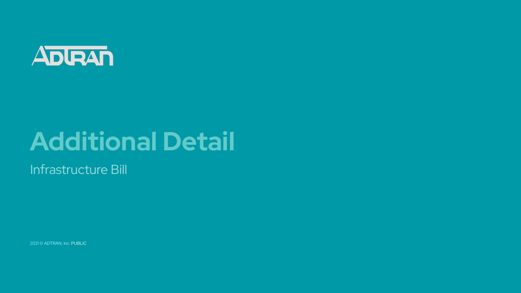

# **Additional Detail**

Infrastructure Bill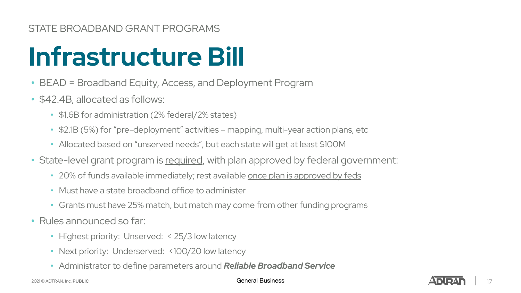### STATE BROADBAND GRANT PROGRAMS

# **Infrastructure Bill**

- BEAD = Broadband Equity, Access, and Deployment Program
- \$42.4B, allocated as follows:
	- \$1.6B for administration (2% federal/2% states)
	- \$2.1B (5%) for "pre-deployment" activities mapping, multi-year action plans, etc
	- Allocated based on "unserved needs", but each state will get at least \$100M
- State-level grant program is required, with plan approved by federal government:
	- 20% of funds available immediately; rest available once plan is approved by feds
	- Must have a state broadband office to administer
	- Grants must have 25% match, but match may come from other funding programs
- Rules announced so far:
	- Highest priority: Unserved: < 25/3 low latency
	- Next priority: Underserved: <100/20 low latency
	- Administrator to define parameters around *Reliable Broadband Service*

2021 © ADTRAN, Inc. **PUBLIC** General Business

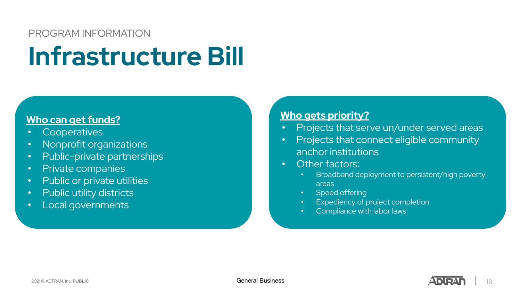### PROGRAM INFORMATION

# **Infrastructure Bill**

### **Who can get funds?**

- Cooperatives
- Nonprofit organizations
- Public-private partnerships
- Private companies
- Public or private utilities
- Public utility districts
- Local governments

### **Who gets priority?**

- Projects that serve un/under served areas
- Projects that connect eligible community anchor institutions
- Other factors:
	- Broadband deployment to persistent/high poverty areas
	- Speed offering
	- Expediency of project completion
	- Compliance with labor laws

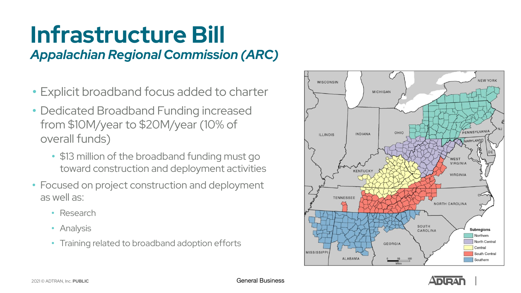# **Infrastructure Bill** *Appalachian Regional Commission (ARC)*

- Explicit broadband focus added to charter
- Dedicated Broadband Funding increased from \$10M/year to \$20M/year (10% of overall funds)
	- \$13 million of the broadband funding must go toward construction and deployment activities
- Focused on project construction and deployment as well as:
	- Research
	- Analysis
	- Training related to broadband adoption efforts